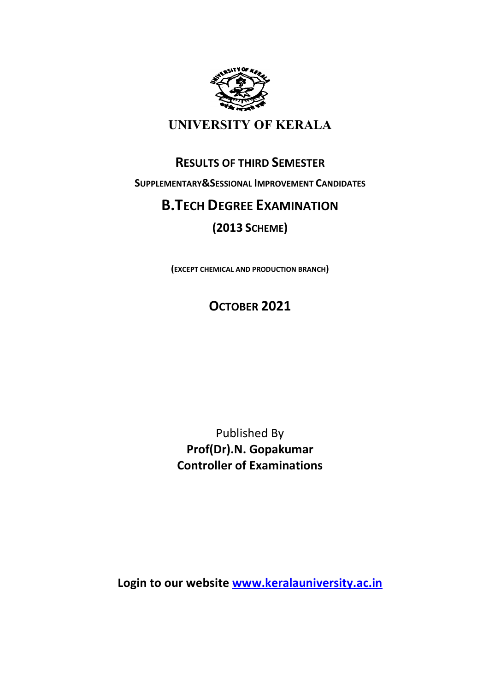

# UNIVERSITY OF KERALA

## RESULTS OF THIRD SEMESTER

SUPPLEMENTARY&SESSIONAL IMPROVEMENT CANDIDATES

# B.TECH DEGREE EXAMINATION

# (2013 SCHEME)

(EXCEPT CHEMICAL AND PRODUCTION BRANCH)

# OCTOBER 2021

Published By Prof(Dr).N. Gopakumar Controller of Examinations

Login to our website www.keralauniversity.ac.in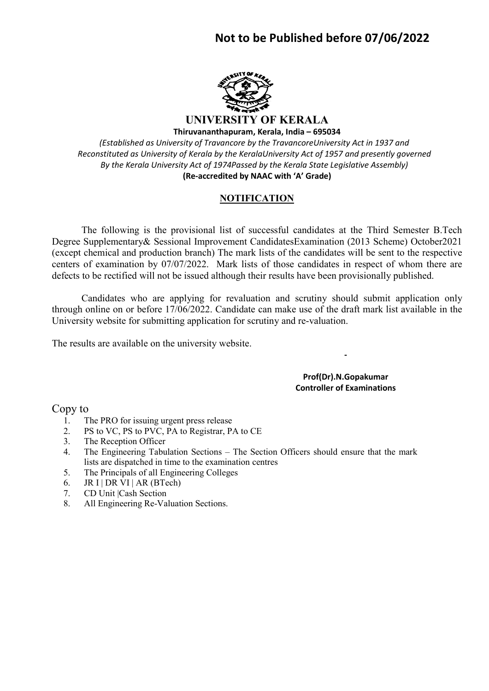## Not to be Published before 07/06/2022



UNIVERSITY OF KERALA Thiruvananthapuram, Kerala, India – 695034

(Established as University of Travancore by the TravancoreUniversity Act in 1937 and Reconstituted as University of Kerala by the KeralaUniversity Act of 1957 and presently governed By the Kerala University Act of 1974Passed by the Kerala State Legislative Assembly) (Re-accredited by NAAC with 'A' Grade)

## **NOTIFICATION**

 The following is the provisional list of successful candidates at the Third Semester B.Tech Degree Supplementary& Sessional Improvement CandidatesExamination (2013 Scheme) October2021 (except chemical and production branch) The mark lists of the candidates will be sent to the respective centers of examination by 07/07/2022. Mark lists of those candidates in respect of whom there are defects to be rectified will not be issued although their results have been provisionally published.

 Candidates who are applying for revaluation and scrutiny should submit application only through online on or before 17/06/2022. Candidate can make use of the draft mark list available in the University website for submitting application for scrutiny and re-valuation.

The results are available on the university website.

Prof(Dr).N.Gopakumar Controller of Examinations

-

Copy to

- 1. The PRO for issuing urgent press release
- 2. PS to VC, PS to PVC, PA to Registrar, PA to CE
- 3. The Reception Officer
- 4. The Engineering Tabulation Sections The Section Officers should ensure that the mark lists are dispatched in time to the examination centres
- 5. The Principals of all Engineering Colleges
- 6. JR I | DR VI | AR (BTech)
- 7. CD Unit |Cash Section
- 8. All Engineering Re-Valuation Sections.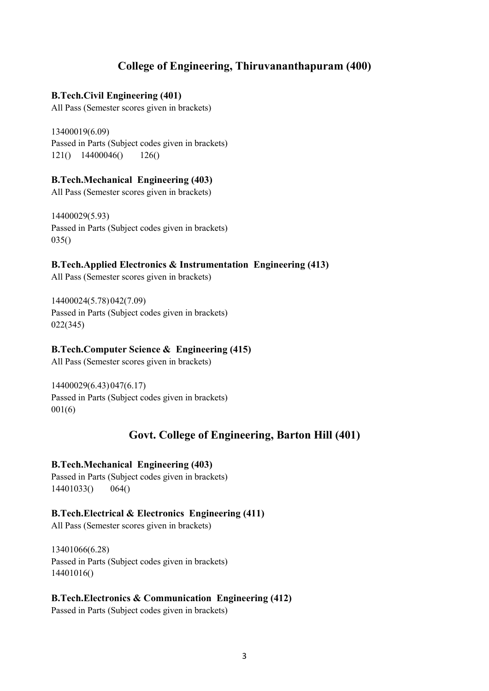## College of Engineering, Thiruvananthapuram (400)

#### B.Tech.Civil Engineering (401)

All Pass (Semester scores given in brackets)

13400019(6.09) Passed in Parts (Subject codes given in brackets) 121() 14400046() 126()

#### B.Tech.Mechanical Engineering (403)

All Pass (Semester scores given in brackets)

14400029(5.93) Passed in Parts (Subject codes given in brackets) 035()

#### B.Tech.Applied Electronics & Instrumentation Engineering (413)

All Pass (Semester scores given in brackets)

14400024(5.78) 042(7.09) Passed in Parts (Subject codes given in brackets) 022(345)

#### B.Tech.Computer Science & Engineering (415)

All Pass (Semester scores given in brackets)

14400029(6.43) 047(6.17) Passed in Parts (Subject codes given in brackets) 001(6)

## Govt. College of Engineering, Barton Hill (401)

#### B.Tech.Mechanical Engineering (403)

Passed in Parts (Subject codes given in brackets) 14401033() 064()

#### B.Tech.Electrical & Electronics Engineering (411)

All Pass (Semester scores given in brackets)

13401066(6.28) Passed in Parts (Subject codes given in brackets) 14401016()

#### B.Tech.Electronics & Communication Engineering (412)

Passed in Parts (Subject codes given in brackets)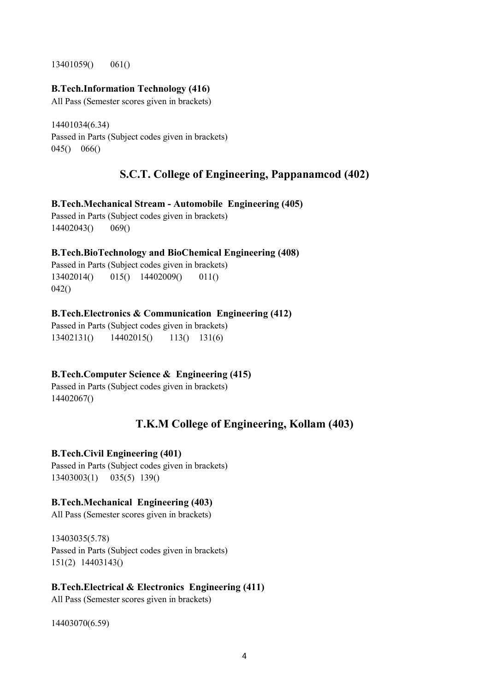13401059() 061()

#### B.Tech.Information Technology (416)

All Pass (Semester scores given in brackets)

14401034(6.34) Passed in Parts (Subject codes given in brackets) 045() 066()

## S.C.T. College of Engineering, Pappanamcod (402)

#### B.Tech.Mechanical Stream - Automobile Engineering (405)

Passed in Parts (Subject codes given in brackets) 14402043() 069()

#### B.Tech.BioTechnology and BioChemical Engineering (408)

Passed in Parts (Subject codes given in brackets) 13402014() 015() 14402009() 011() 042()

#### B.Tech.Electronics & Communication Engineering (412)

Passed in Parts (Subject codes given in brackets) 13402131() 14402015() 113() 131(6)

#### B.Tech.Computer Science & Engineering (415)

Passed in Parts (Subject codes given in brackets) 14402067()

## T.K.M College of Engineering, Kollam (403)

#### B.Tech.Civil Engineering (401)

Passed in Parts (Subject codes given in brackets) 13403003(1) 035(5) 139()

#### B.Tech.Mechanical Engineering (403)

All Pass (Semester scores given in brackets)

13403035(5.78) Passed in Parts (Subject codes given in brackets) 151(2) 14403143()

#### B.Tech.Electrical & Electronics Engineering (411)

All Pass (Semester scores given in brackets)

14403070(6.59)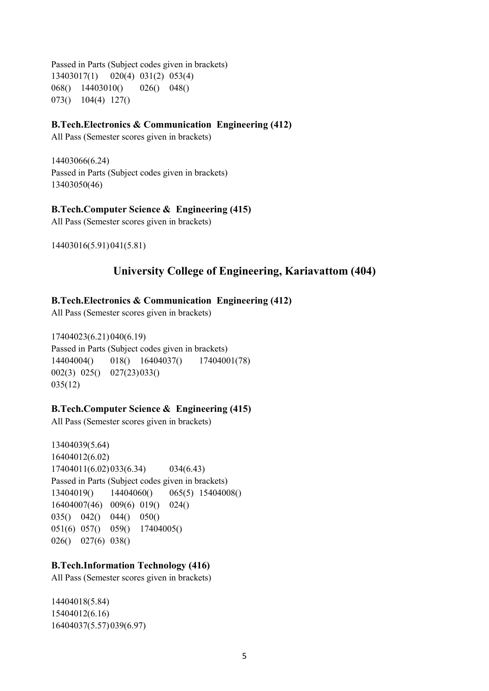Passed in Parts (Subject codes given in brackets) 13403017(1) 020(4) 031(2) 053(4) 068() 14403010() 026() 048() 073() 104(4) 127()

#### B.Tech.Electronics & Communication Engineering (412)

All Pass (Semester scores given in brackets)

14403066(6.24) Passed in Parts (Subject codes given in brackets) 13403050(46)

#### B.Tech.Computer Science & Engineering (415)

All Pass (Semester scores given in brackets)

14403016(5.91) 041(5.81)

## University College of Engineering, Kariavattom (404)

#### B.Tech.Electronics & Communication Engineering (412)

All Pass (Semester scores given in brackets)

17404023(6.21) 040(6.19) Passed in Parts (Subject codes given in brackets) 14404004() 018() 16404037() 17404001(78) 002(3) 025() 027(23) 033() 035(12)

#### B.Tech.Computer Science & Engineering (415)

All Pass (Semester scores given in brackets)

13404039(5.64) 16404012(6.02) 17404011(6.02) 033(6.34) 034(6.43) Passed in Parts (Subject codes given in brackets) 13404019() 14404060() 065(5) 15404008() 16404007(46) 009(6) 019() 024() 035() 042() 044() 050() 051(6) 057() 059() 17404005() 026() 027(6) 038()

#### B.Tech.Information Technology (416)

All Pass (Semester scores given in brackets)

14404018(5.84) 15404012(6.16) 16404037(5.57) 039(6.97)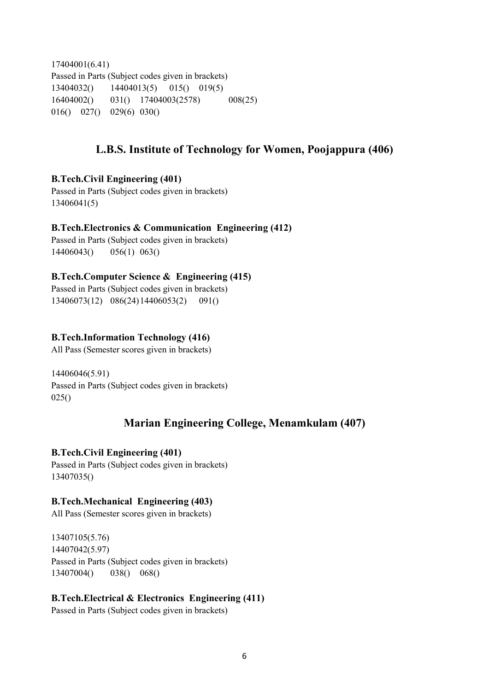17404001(6.41) Passed in Parts (Subject codes given in brackets) 13404032() 14404013(5) 015() 019(5) 16404002() 031() 17404003(2578) 008(25) 016() 027() 029(6) 030()

## L.B.S. Institute of Technology for Women, Poojappura (406)

#### B.Tech.Civil Engineering (401)

Passed in Parts (Subject codes given in brackets) 13406041(5)

#### B.Tech.Electronics & Communication Engineering (412)

Passed in Parts (Subject codes given in brackets) 14406043() 056(1) 063()

#### B.Tech.Computer Science & Engineering (415)

Passed in Parts (Subject codes given in brackets) 13406073(12) 086(24) 14406053(2) 091()

#### B.Tech.Information Technology (416)

All Pass (Semester scores given in brackets)

14406046(5.91) Passed in Parts (Subject codes given in brackets) 025()

## Marian Engineering College, Menamkulam (407)

#### B.Tech.Civil Engineering (401)

Passed in Parts (Subject codes given in brackets) 13407035()

#### B.Tech.Mechanical Engineering (403)

All Pass (Semester scores given in brackets)

13407105(5.76) 14407042(5.97) Passed in Parts (Subject codes given in brackets) 13407004() 038() 068()

#### B.Tech.Electrical & Electronics Engineering (411)

Passed in Parts (Subject codes given in brackets)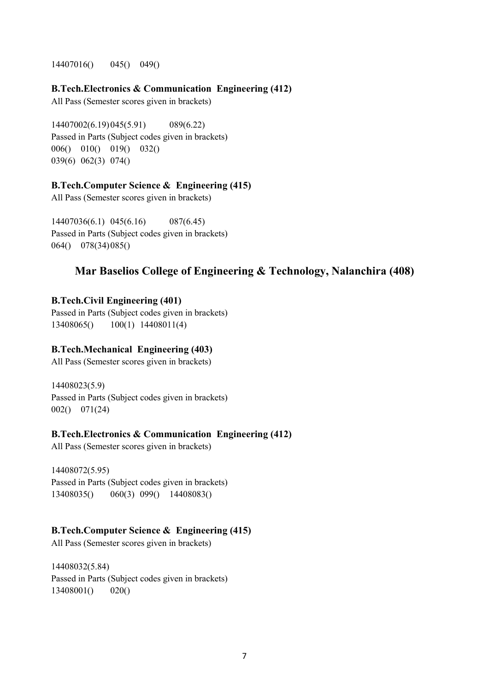14407016() 045() 049()

#### B.Tech.Electronics & Communication Engineering (412)

All Pass (Semester scores given in brackets)

14407002(6.19) 045(5.91) 089(6.22) Passed in Parts (Subject codes given in brackets) 006() 010() 019() 032() 039(6) 062(3) 074()

### B.Tech.Computer Science & Engineering (415)

All Pass (Semester scores given in brackets)

14407036(6.1) 045(6.16) 087(6.45) Passed in Parts (Subject codes given in brackets) 064() 078(34) 085()

## Mar Baselios College of Engineering & Technology, Nalanchira (408)

#### B.Tech.Civil Engineering (401)

Passed in Parts (Subject codes given in brackets) 13408065() 100(1) 14408011(4)

#### B.Tech.Mechanical Engineering (403)

All Pass (Semester scores given in brackets)

14408023(5.9) Passed in Parts (Subject codes given in brackets) 002() 071(24)

#### B.Tech.Electronics & Communication Engineering (412)

All Pass (Semester scores given in brackets)

14408072(5.95) Passed in Parts (Subject codes given in brackets) 13408035() 060(3) 099() 14408083()

#### B.Tech.Computer Science & Engineering (415)

All Pass (Semester scores given in brackets)

14408032(5.84) Passed in Parts (Subject codes given in brackets) 13408001() 020()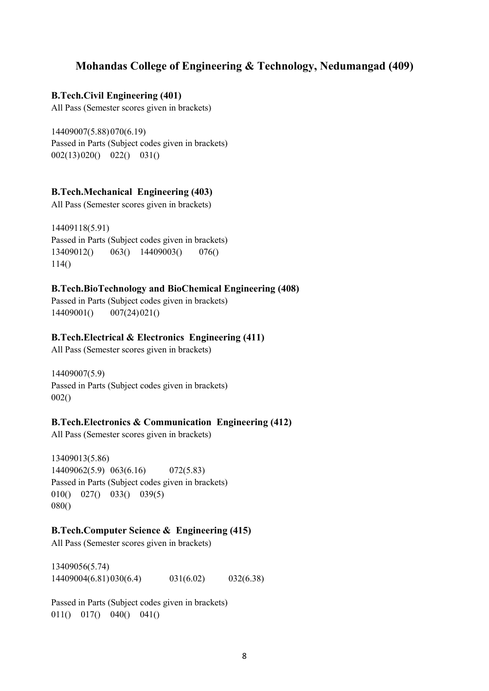## Mohandas College of Engineering & Technology, Nedumangad (409)

#### B.Tech.Civil Engineering (401)

All Pass (Semester scores given in brackets)

14409007(5.88) 070(6.19) Passed in Parts (Subject codes given in brackets) 002(13) 020() 022() 031()

#### B.Tech.Mechanical Engineering (403)

All Pass (Semester scores given in brackets)

14409118(5.91) Passed in Parts (Subject codes given in brackets) 13409012() 063() 14409003() 076() 114()

#### B.Tech.BioTechnology and BioChemical Engineering (408)

Passed in Parts (Subject codes given in brackets)  $14409001()$   $007(24)021()$ 

#### B.Tech.Electrical & Electronics Engineering (411)

All Pass (Semester scores given in brackets)

14409007(5.9) Passed in Parts (Subject codes given in brackets) 002()

#### B.Tech.Electronics & Communication Engineering (412)

All Pass (Semester scores given in brackets)

13409013(5.86) 14409062(5.9) 063(6.16) 072(5.83) Passed in Parts (Subject codes given in brackets) 010() 027() 033() 039(5) 080()

#### B.Tech.Computer Science & Engineering (415)

All Pass (Semester scores given in brackets)

13409056(5.74) 14409004(6.81) 030(6.4) 031(6.02) 032(6.38)

Passed in Parts (Subject codes given in brackets) 011() 017() 040() 041()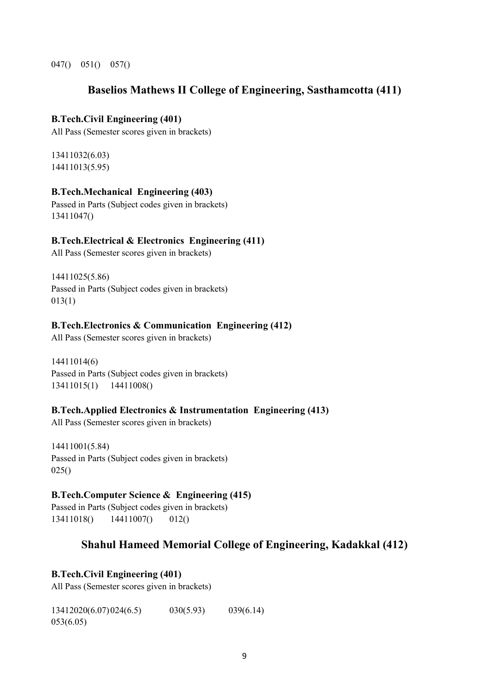047() 051() 057()

## Baselios Mathews II College of Engineering, Sasthamcotta (411)

#### B.Tech.Civil Engineering (401)

All Pass (Semester scores given in brackets)

13411032(6.03) 14411013(5.95)

#### B.Tech.Mechanical Engineering (403)

Passed in Parts (Subject codes given in brackets) 13411047()

#### B.Tech.Electrical & Electronics Engineering (411)

All Pass (Semester scores given in brackets)

14411025(5.86) Passed in Parts (Subject codes given in brackets) 013(1)

## B.Tech.Electronics & Communication Engineering (412)

All Pass (Semester scores given in brackets)

14411014(6) Passed in Parts (Subject codes given in brackets) 13411015(1) 14411008()

## B.Tech.Applied Electronics & Instrumentation Engineering (413)

All Pass (Semester scores given in brackets)

14411001(5.84) Passed in Parts (Subject codes given in brackets) 025()

#### B.Tech.Computer Science & Engineering (415)

Passed in Parts (Subject codes given in brackets) 13411018() 14411007() 012()

## Shahul Hameed Memorial College of Engineering, Kadakkal (412)

#### B.Tech.Civil Engineering (401)

All Pass (Semester scores given in brackets)

13412020(6.07) 024(6.5) 030(5.93) 039(6.14) 053(6.05)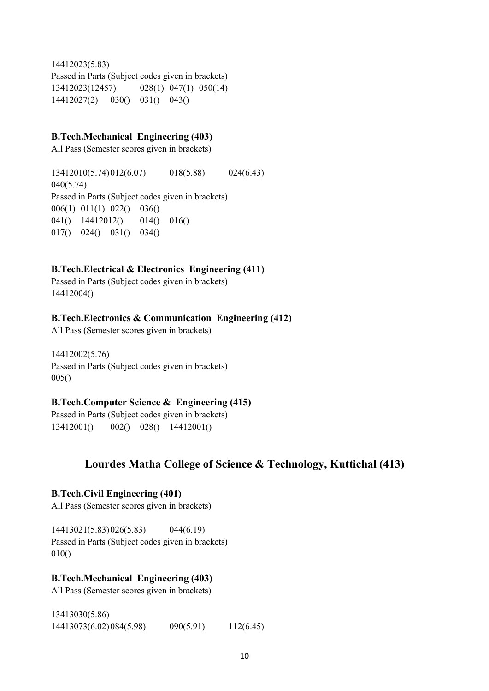14412023(5.83) Passed in Parts (Subject codes given in brackets) 13412023(12457) 028(1) 047(1) 050(14) 14412027(2) 030() 031() 043()

#### B.Tech.Mechanical Engineering (403)

All Pass (Semester scores given in brackets)

13412010(5.74) 012(6.07) 018(5.88) 024(6.43) 040(5.74) Passed in Parts (Subject codes given in brackets) 006(1) 011(1) 022() 036() 041() 14412012() 014() 016() 017() 024() 031() 034()

#### B.Tech.Electrical & Electronics Engineering (411)

Passed in Parts (Subject codes given in brackets) 14412004()

#### B.Tech.Electronics & Communication Engineering (412)

All Pass (Semester scores given in brackets)

14412002(5.76) Passed in Parts (Subject codes given in brackets) 005()

#### B.Tech.Computer Science & Engineering (415)

Passed in Parts (Subject codes given in brackets) 13412001() 002() 028() 14412001()

### Lourdes Matha College of Science & Technology, Kuttichal (413)

#### B.Tech.Civil Engineering (401)

All Pass (Semester scores given in brackets)

14413021(5.83) 026(5.83) 044(6.19) Passed in Parts (Subject codes given in brackets) 010()

#### B.Tech.Mechanical Engineering (403)

All Pass (Semester scores given in brackets)

13413030(5.86) 14413073(6.02) 084(5.98) 090(5.91) 112(6.45)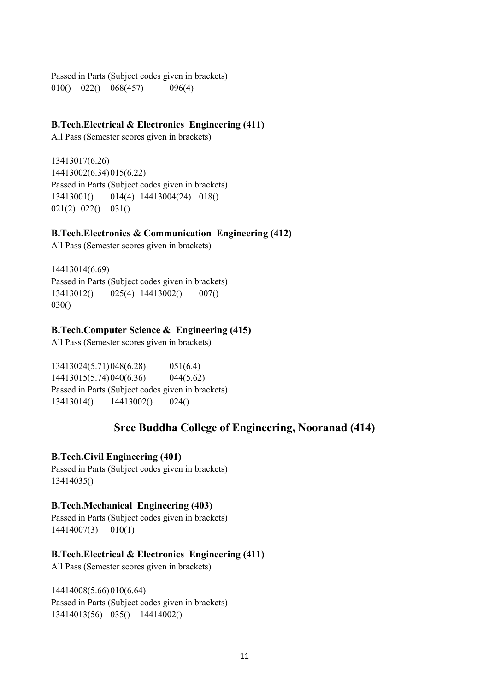Passed in Parts (Subject codes given in brackets)  $010()$   $022()$   $068(457)$   $096(4)$ 

#### B.Tech.Electrical & Electronics Engineering (411)

All Pass (Semester scores given in brackets)

13413017(6.26) 14413002(6.34) 015(6.22) Passed in Parts (Subject codes given in brackets) 13413001() 014(4) 14413004(24) 018() 021(2) 022() 031()

#### B.Tech.Electronics & Communication Engineering (412)

All Pass (Semester scores given in brackets)

14413014(6.69) Passed in Parts (Subject codes given in brackets) 13413012() 025(4) 14413002() 007() 030()

#### B.Tech.Computer Science & Engineering (415)

All Pass (Semester scores given in brackets)

13413024(5.71) 048(6.28) 051(6.4) 14413015(5.74) 040(6.36) 044(5.62) Passed in Parts (Subject codes given in brackets) 13413014() 14413002() 024()

## Sree Buddha College of Engineering, Nooranad (414)

#### B.Tech.Civil Engineering (401)

Passed in Parts (Subject codes given in brackets) 13414035()

#### B.Tech.Mechanical Engineering (403)

Passed in Parts (Subject codes given in brackets) 14414007(3) 010(1)

#### B.Tech.Electrical & Electronics Engineering (411)

All Pass (Semester scores given in brackets)

14414008(5.66) 010(6.64) Passed in Parts (Subject codes given in brackets) 13414013(56) 035() 14414002()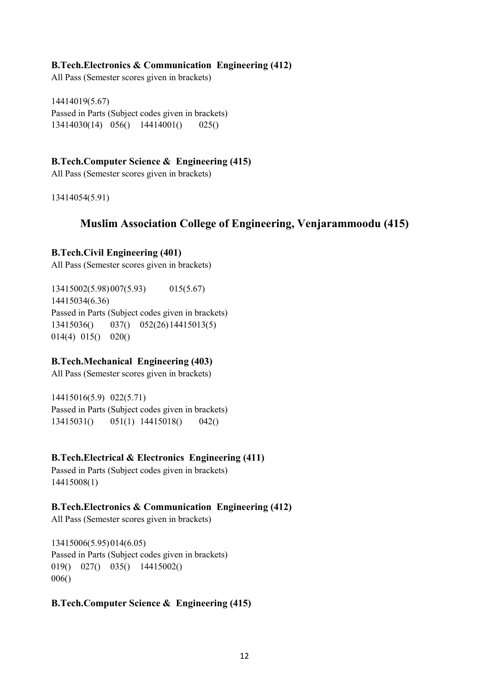#### B.Tech.Electronics & Communication Engineering (412)

All Pass (Semester scores given in brackets)

14414019(5.67) Passed in Parts (Subject codes given in brackets) 13414030(14) 056() 14414001() 025()

#### B.Tech.Computer Science & Engineering (415)

All Pass (Semester scores given in brackets)

13414054(5.91)

## Muslim Association College of Engineering, Venjarammoodu (415)

#### B.Tech.Civil Engineering (401)

All Pass (Semester scores given in brackets)

13415002(5.98) 007(5.93) 015(5.67) 14415034(6.36) Passed in Parts (Subject codes given in brackets) 13415036() 037() 052(26) 14415013(5) 014(4) 015() 020()

#### B.Tech.Mechanical Engineering (403)

All Pass (Semester scores given in brackets)

14415016(5.9) 022(5.71) Passed in Parts (Subject codes given in brackets) 13415031() 051(1) 14415018() 042()

#### B.Tech.Electrical & Electronics Engineering (411)

Passed in Parts (Subject codes given in brackets) 14415008(1)

#### B.Tech.Electronics & Communication Engineering (412)

All Pass (Semester scores given in brackets)

13415006(5.95) 014(6.05) Passed in Parts (Subject codes given in brackets) 019() 027() 035() 14415002() 006()

#### B.Tech.Computer Science & Engineering (415)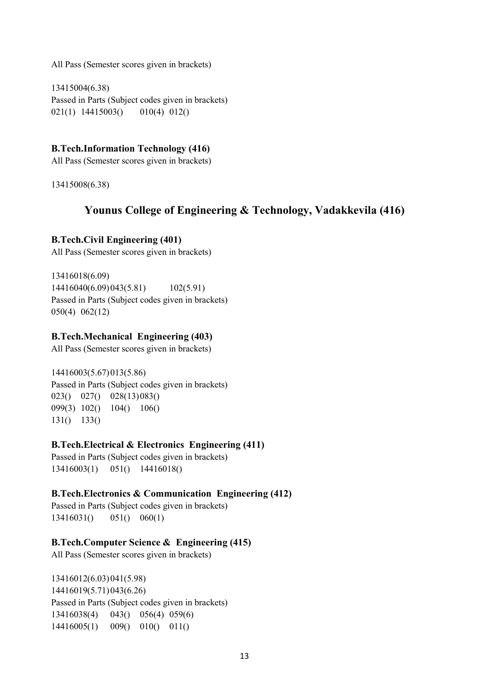All Pass (Semester scores given in brackets)

13415004(6.38) Passed in Parts (Subject codes given in brackets) 021(1) 14415003() 010(4) 012()

#### B.Tech.Information Technology (416)

All Pass (Semester scores given in brackets)

13415008(6.38)

## Younus College of Engineering & Technology, Vadakkevila (416)

#### B.Tech.Civil Engineering (401)

All Pass (Semester scores given in brackets)

13416018(6.09) 14416040(6.09) 043(5.81) 102(5.91) Passed in Parts (Subject codes given in brackets) 050(4) 062(12)

#### B.Tech.Mechanical Engineering (403)

All Pass (Semester scores given in brackets)

14416003(5.67) 013(5.86) Passed in Parts (Subject codes given in brackets) 023() 027() 028(13) 083() 099(3) 102() 104() 106() 131() 133()

#### B.Tech.Electrical & Electronics Engineering (411)

Passed in Parts (Subject codes given in brackets) 13416003(1) 051() 14416018()

#### B.Tech.Electronics & Communication Engineering (412)

Passed in Parts (Subject codes given in brackets) 13416031() 051() 060(1)

#### B.Tech.Computer Science & Engineering (415)

All Pass (Semester scores given in brackets)

13416012(6.03) 041(5.98) 14416019(5.71) 043(6.26) Passed in Parts (Subject codes given in brackets) 13416038(4) 043() 056(4) 059(6) 14416005(1) 009() 010() 011()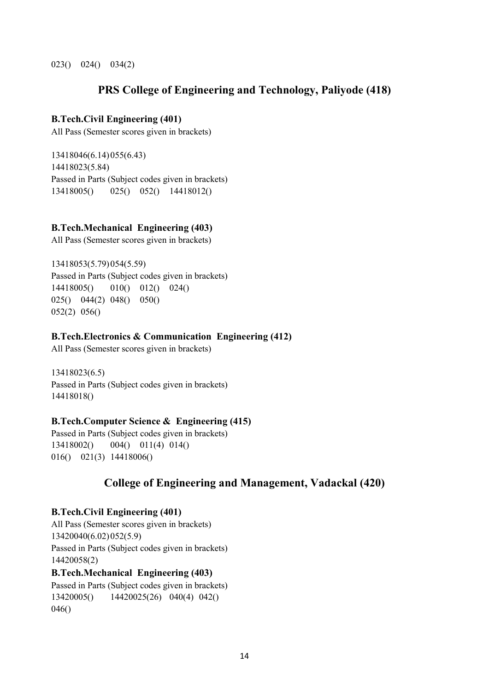023() 024() 034(2)

## PRS College of Engineering and Technology, Paliyode (418)

#### B.Tech.Civil Engineering (401)

All Pass (Semester scores given in brackets)

13418046(6.14) 055(6.43) 14418023(5.84) Passed in Parts (Subject codes given in brackets) 13418005() 025() 052() 14418012()

#### B.Tech.Mechanical Engineering (403)

All Pass (Semester scores given in brackets)

13418053(5.79) 054(5.59) Passed in Parts (Subject codes given in brackets) 14418005() 010() 012() 024() 025() 044(2) 048() 050() 052(2) 056()

#### B.Tech.Electronics & Communication Engineering (412)

All Pass (Semester scores given in brackets)

13418023(6.5) Passed in Parts (Subject codes given in brackets) 14418018()

#### B.Tech.Computer Science & Engineering (415)

Passed in Parts (Subject codes given in brackets) 13418002() 004() 011(4) 014() 016() 021(3) 14418006()

## College of Engineering and Management, Vadackal (420)

#### B.Tech.Civil Engineering (401)

All Pass (Semester scores given in brackets) 13420040(6.02) 052(5.9) Passed in Parts (Subject codes given in brackets) 14420058(2)

#### B.Tech.Mechanical Engineering (403)

Passed in Parts (Subject codes given in brackets) 13420005() 14420025(26) 040(4) 042() 046()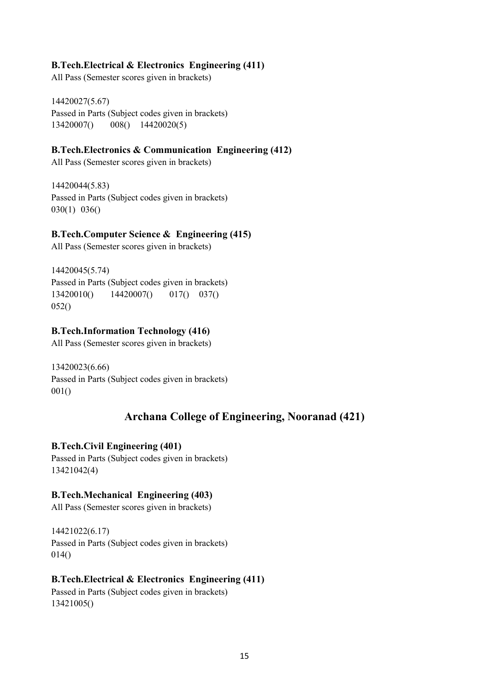#### B.Tech.Electrical & Electronics Engineering (411)

All Pass (Semester scores given in brackets)

14420027(5.67) Passed in Parts (Subject codes given in brackets) 13420007() 008() 14420020(5)

## B.Tech.Electronics & Communication Engineering (412)

All Pass (Semester scores given in brackets)

14420044(5.83) Passed in Parts (Subject codes given in brackets) 030(1) 036()

## B.Tech.Computer Science & Engineering (415)

All Pass (Semester scores given in brackets)

14420045(5.74) Passed in Parts (Subject codes given in brackets) 13420010() 14420007() 017() 037() 052()

## B.Tech.Information Technology (416)

All Pass (Semester scores given in brackets)

13420023(6.66) Passed in Parts (Subject codes given in brackets)  $001()$ 

## Archana College of Engineering, Nooranad (421)

#### B.Tech.Civil Engineering (401)

Passed in Parts (Subject codes given in brackets) 13421042(4)

#### B.Tech.Mechanical Engineering (403)

All Pass (Semester scores given in brackets)

14421022(6.17) Passed in Parts (Subject codes given in brackets) 014()

#### B.Tech.Electrical & Electronics Engineering (411)

Passed in Parts (Subject codes given in brackets) 13421005()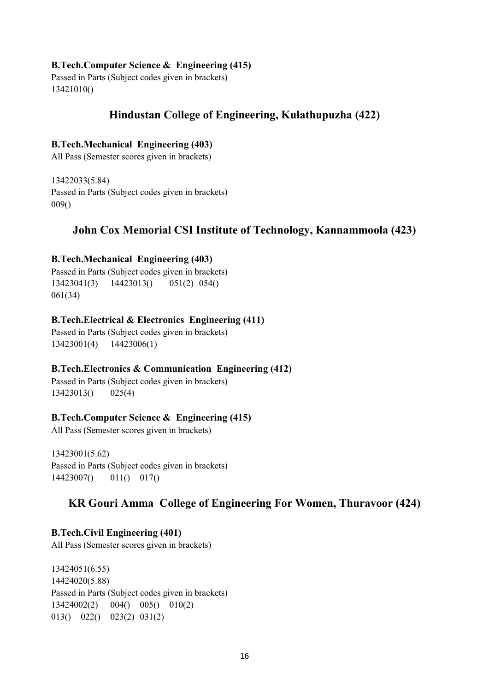#### B.Tech.Computer Science & Engineering (415)

Passed in Parts (Subject codes given in brackets) 13421010()

## Hindustan College of Engineering, Kulathupuzha (422)

#### B.Tech.Mechanical Engineering (403)

All Pass (Semester scores given in brackets)

13422033(5.84) Passed in Parts (Subject codes given in brackets) 009()

## John Cox Memorial CSI Institute of Technology, Kannammoola (423)

#### B.Tech.Mechanical Engineering (403)

Passed in Parts (Subject codes given in brackets) 13423041(3) 14423013() 051(2) 054() 061(34)

#### B.Tech.Electrical & Electronics Engineering (411)

Passed in Parts (Subject codes given in brackets) 13423001(4) 14423006(1)

#### B.Tech.Electronics & Communication Engineering (412)

Passed in Parts (Subject codes given in brackets) 13423013() 025(4)

#### B.Tech.Computer Science & Engineering (415)

All Pass (Semester scores given in brackets)

13423001(5.62) Passed in Parts (Subject codes given in brackets) 14423007() 011() 017()

## KR Gouri Amma College of Engineering For Women, Thuravoor (424)

#### B.Tech.Civil Engineering (401)

All Pass (Semester scores given in brackets)

13424051(6.55) 14424020(5.88) Passed in Parts (Subject codes given in brackets) 13424002(2) 004() 005() 010(2) 013() 022() 023(2) 031(2)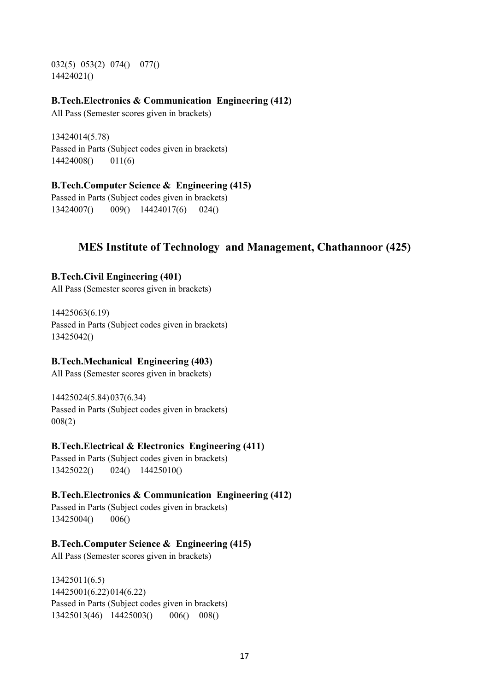032(5) 053(2) 074() 077() 14424021()

#### B.Tech.Electronics & Communication Engineering (412)

All Pass (Semester scores given in brackets)

13424014(5.78) Passed in Parts (Subject codes given in brackets) 14424008() 011(6)

#### B.Tech.Computer Science & Engineering (415)

Passed in Parts (Subject codes given in brackets) 13424007() 009() 14424017(6) 024()

## MES Institute of Technology and Management, Chathannoor (425)

#### B.Tech.Civil Engineering (401)

All Pass (Semester scores given in brackets)

14425063(6.19) Passed in Parts (Subject codes given in brackets) 13425042()

#### B.Tech.Mechanical Engineering (403)

All Pass (Semester scores given in brackets)

14425024(5.84) 037(6.34) Passed in Parts (Subject codes given in brackets) 008(2)

#### B.Tech.Electrical & Electronics Engineering (411)

Passed in Parts (Subject codes given in brackets) 13425022() 024() 14425010()

#### B.Tech.Electronics & Communication Engineering (412)

Passed in Parts (Subject codes given in brackets) 13425004() 006()

#### B.Tech.Computer Science & Engineering (415)

All Pass (Semester scores given in brackets)

13425011(6.5) 14425001(6.22) 014(6.22) Passed in Parts (Subject codes given in brackets) 13425013(46) 14425003() 006() 008()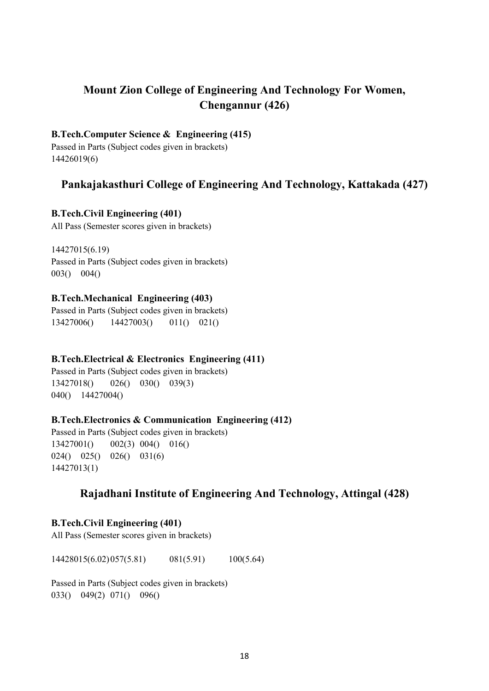## Mount Zion College of Engineering And Technology For Women, Chengannur (426)

#### B.Tech.Computer Science & Engineering (415)

Passed in Parts (Subject codes given in brackets) 14426019(6)

## Pankajakasthuri College of Engineering And Technology, Kattakada (427)

#### B.Tech.Civil Engineering (401)

All Pass (Semester scores given in brackets)

14427015(6.19) Passed in Parts (Subject codes given in brackets) 003() 004()

#### B.Tech.Mechanical Engineering (403)

Passed in Parts (Subject codes given in brackets) 13427006() 14427003() 011() 021()

#### B.Tech.Electrical & Electronics Engineering (411)

Passed in Parts (Subject codes given in brackets) 13427018() 026() 030() 039(3) 040() 14427004()

#### B.Tech.Electronics & Communication Engineering (412)

Passed in Parts (Subject codes given in brackets) 13427001() 002(3) 004() 016() 024() 025() 026() 031(6) 14427013(1)

## Rajadhani Institute of Engineering And Technology, Attingal (428)

#### B.Tech.Civil Engineering (401)

All Pass (Semester scores given in brackets)

14428015(6.02) 057(5.81) 081(5.91) 100(5.64)

Passed in Parts (Subject codes given in brackets) 033() 049(2) 071() 096()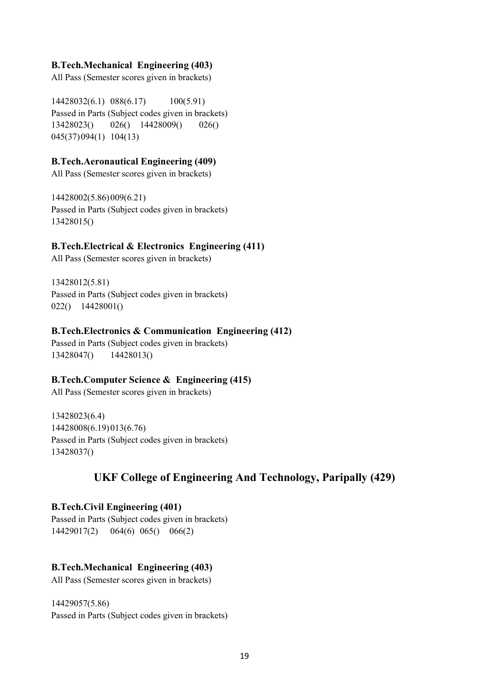#### B.Tech.Mechanical Engineering (403)

All Pass (Semester scores given in brackets)

14428032(6.1) 088(6.17) 100(5.91) Passed in Parts (Subject codes given in brackets) 13428023() 026() 14428009() 026() 045(37) 094(1) 104(13)

#### B.Tech.Aeronautical Engineering (409)

All Pass (Semester scores given in brackets)

14428002(5.86) 009(6.21) Passed in Parts (Subject codes given in brackets) 13428015()

#### B.Tech.Electrical & Electronics Engineering (411)

All Pass (Semester scores given in brackets)

13428012(5.81) Passed in Parts (Subject codes given in brackets) 022() 14428001()

#### B.Tech.Electronics & Communication Engineering (412)

Passed in Parts (Subject codes given in brackets) 13428047() 14428013()

#### B.Tech.Computer Science & Engineering (415)

All Pass (Semester scores given in brackets)

13428023(6.4) 14428008(6.19) 013(6.76) Passed in Parts (Subject codes given in brackets) 13428037()

## UKF College of Engineering And Technology, Paripally (429)

## B.Tech.Civil Engineering (401)

Passed in Parts (Subject codes given in brackets) 14429017(2) 064(6) 065() 066(2)

#### B.Tech.Mechanical Engineering (403)

All Pass (Semester scores given in brackets)

14429057(5.86) Passed in Parts (Subject codes given in brackets)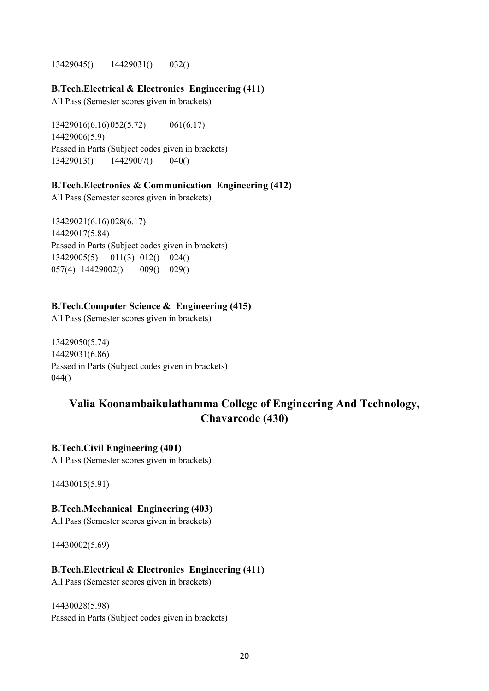13429045() 14429031() 032()

#### B.Tech.Electrical & Electronics Engineering (411)

All Pass (Semester scores given in brackets)

13429016(6.16) 052(5.72) 061(6.17) 14429006(5.9) Passed in Parts (Subject codes given in brackets) 13429013() 14429007() 040()

#### B.Tech.Electronics & Communication Engineering (412)

All Pass (Semester scores given in brackets)

13429021(6.16) 028(6.17) 14429017(5.84) Passed in Parts (Subject codes given in brackets) 13429005(5) 011(3) 012() 024() 057(4) 14429002() 009() 029()

#### B.Tech.Computer Science & Engineering (415)

All Pass (Semester scores given in brackets)

13429050(5.74) 14429031(6.86) Passed in Parts (Subject codes given in brackets) 044()

## Valia Koonambaikulathamma College of Engineering And Technology, Chavarcode (430)

#### B.Tech.Civil Engineering (401)

All Pass (Semester scores given in brackets)

14430015(5.91)

#### B.Tech.Mechanical Engineering (403)

All Pass (Semester scores given in brackets)

14430002(5.69)

#### B.Tech.Electrical & Electronics Engineering (411)

All Pass (Semester scores given in brackets)

14430028(5.98) Passed in Parts (Subject codes given in brackets)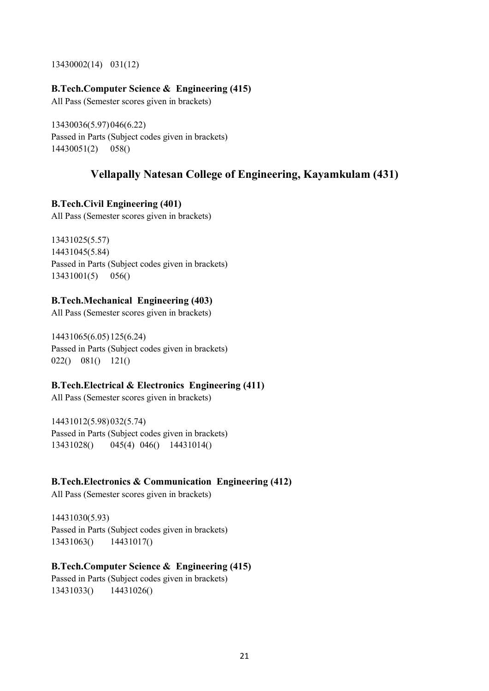13430002(14) 031(12)

#### B.Tech.Computer Science & Engineering (415)

All Pass (Semester scores given in brackets)

13430036(5.97) 046(6.22) Passed in Parts (Subject codes given in brackets) 14430051(2) 058()

## Vellapally Natesan College of Engineering, Kayamkulam (431)

## B.Tech.Civil Engineering (401)

All Pass (Semester scores given in brackets)

13431025(5.57) 14431045(5.84) Passed in Parts (Subject codes given in brackets) 13431001(5) 056()

## B.Tech.Mechanical Engineering (403)

All Pass (Semester scores given in brackets)

14431065(6.05) 125(6.24) Passed in Parts (Subject codes given in brackets) 022() 081() 121()

#### B.Tech.Electrical & Electronics Engineering (411)

All Pass (Semester scores given in brackets)

14431012(5.98) 032(5.74) Passed in Parts (Subject codes given in brackets) 13431028() 045(4) 046() 14431014()

#### B.Tech.Electronics & Communication Engineering (412)

All Pass (Semester scores given in brackets)

14431030(5.93) Passed in Parts (Subject codes given in brackets) 13431063() 14431017()

#### B.Tech.Computer Science & Engineering (415)

Passed in Parts (Subject codes given in brackets) 13431033() 14431026()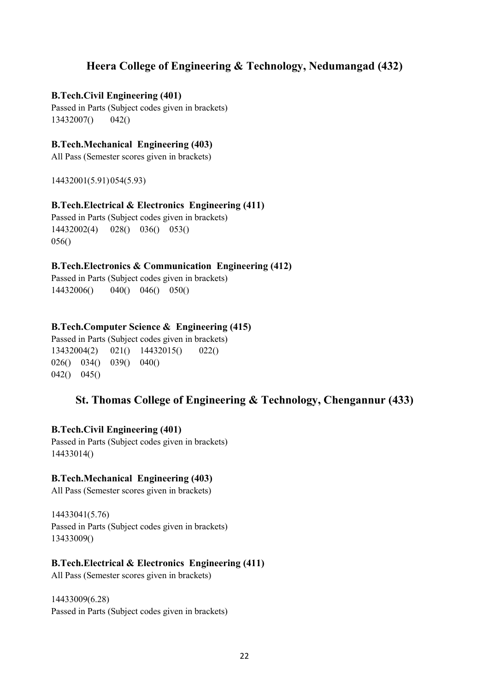## Heera College of Engineering & Technology, Nedumangad (432)

#### B.Tech.Civil Engineering (401)

Passed in Parts (Subject codes given in brackets) 13432007() 042()

#### B.Tech.Mechanical Engineering (403)

All Pass (Semester scores given in brackets)

14432001(5.91) 054(5.93)

#### B.Tech.Electrical & Electronics Engineering (411)

Passed in Parts (Subject codes given in brackets) 14432002(4) 028() 036() 053() 056()

#### B.Tech.Electronics & Communication Engineering (412)

Passed in Parts (Subject codes given in brackets) 14432006() 040() 046() 050()

#### B.Tech.Computer Science & Engineering (415)

Passed in Parts (Subject codes given in brackets) 13432004(2) 021() 14432015() 022() 026() 034() 039() 040() 042() 045()

## St. Thomas College of Engineering & Technology, Chengannur (433)

#### B.Tech.Civil Engineering (401)

Passed in Parts (Subject codes given in brackets) 14433014()

#### B.Tech.Mechanical Engineering (403)

All Pass (Semester scores given in brackets)

14433041(5.76) Passed in Parts (Subject codes given in brackets) 13433009()

#### B.Tech.Electrical & Electronics Engineering (411)

All Pass (Semester scores given in brackets)

14433009(6.28) Passed in Parts (Subject codes given in brackets)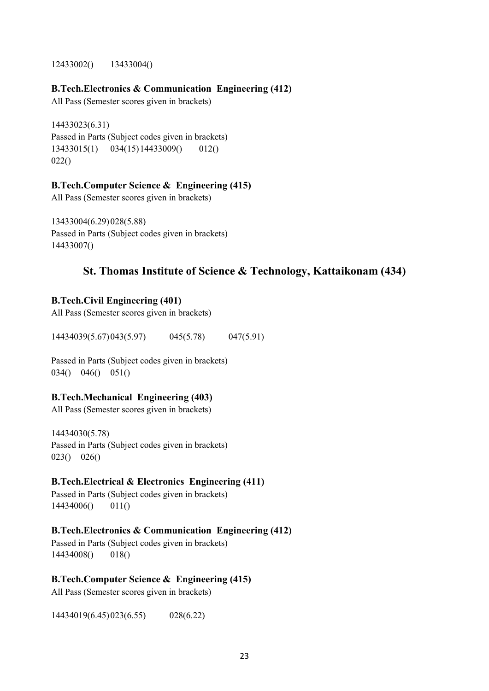12433002() 13433004()

#### B.Tech.Electronics & Communication Engineering (412)

All Pass (Semester scores given in brackets)

14433023(6.31) Passed in Parts (Subject codes given in brackets) 13433015(1) 034(15) 14433009() 012() 022()

#### B.Tech.Computer Science & Engineering (415)

All Pass (Semester scores given in brackets)

13433004(6.29) 028(5.88) Passed in Parts (Subject codes given in brackets) 14433007()

## St. Thomas Institute of Science & Technology, Kattaikonam (434)

#### B.Tech.Civil Engineering (401)

All Pass (Semester scores given in brackets)

14434039(5.67) 043(5.97) 045(5.78) 047(5.91)

Passed in Parts (Subject codes given in brackets) 034() 046() 051()

#### B.Tech.Mechanical Engineering (403)

All Pass (Semester scores given in brackets)

14434030(5.78) Passed in Parts (Subject codes given in brackets) 023() 026()

#### B.Tech.Electrical & Electronics Engineering (411)

Passed in Parts (Subject codes given in brackets) 14434006() 011()

#### B.Tech.Electronics & Communication Engineering (412)

Passed in Parts (Subject codes given in brackets) 14434008() 018()

#### B.Tech.Computer Science & Engineering (415)

All Pass (Semester scores given in brackets)

14434019(6.45) 023(6.55) 028(6.22)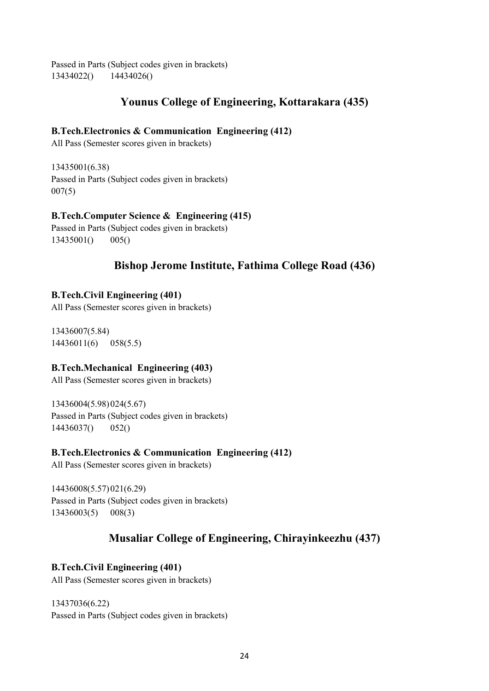Passed in Parts (Subject codes given in brackets) 13434022() 14434026()

## Younus College of Engineering, Kottarakara (435)

## B.Tech.Electronics & Communication Engineering (412)

All Pass (Semester scores given in brackets)

13435001(6.38) Passed in Parts (Subject codes given in brackets) 007(5)

## B.Tech.Computer Science & Engineering (415)

Passed in Parts (Subject codes given in brackets) 13435001() 005()

## Bishop Jerome Institute, Fathima College Road (436)

## B.Tech.Civil Engineering (401)

All Pass (Semester scores given in brackets)

13436007(5.84) 14436011(6) 058(5.5)

#### B.Tech.Mechanical Engineering (403)

All Pass (Semester scores given in brackets)

13436004(5.98) 024(5.67) Passed in Parts (Subject codes given in brackets) 14436037() 052()

## B.Tech.Electronics & Communication Engineering (412)

All Pass (Semester scores given in brackets)

14436008(5.57) 021(6.29) Passed in Parts (Subject codes given in brackets) 13436003(5) 008(3)

## Musaliar College of Engineering, Chirayinkeezhu (437)

## B.Tech.Civil Engineering (401)

All Pass (Semester scores given in brackets)

13437036(6.22) Passed in Parts (Subject codes given in brackets)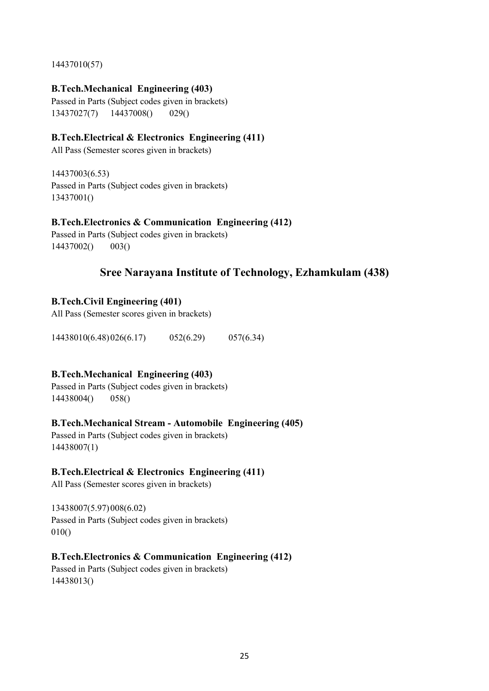14437010(57)

## B.Tech.Mechanical Engineering (403)

Passed in Parts (Subject codes given in brackets) 13437027(7) 14437008() 029()

### B.Tech.Electrical & Electronics Engineering (411)

All Pass (Semester scores given in brackets)

14437003(6.53) Passed in Parts (Subject codes given in brackets) 13437001()

#### B.Tech.Electronics & Communication Engineering (412)

Passed in Parts (Subject codes given in brackets) 14437002() 003()

## Sree Narayana Institute of Technology, Ezhamkulam (438)

## B.Tech.Civil Engineering (401)

All Pass (Semester scores given in brackets)

14438010(6.48) 026(6.17) 052(6.29) 057(6.34)

#### B.Tech.Mechanical Engineering (403)

Passed in Parts (Subject codes given in brackets) 14438004() 058()

#### B.Tech.Mechanical Stream - Automobile Engineering (405)

Passed in Parts (Subject codes given in brackets) 14438007(1)

#### B.Tech.Electrical & Electronics Engineering (411)

All Pass (Semester scores given in brackets)

13438007(5.97) 008(6.02) Passed in Parts (Subject codes given in brackets) 010()

#### B.Tech.Electronics & Communication Engineering (412)

Passed in Parts (Subject codes given in brackets) 14438013()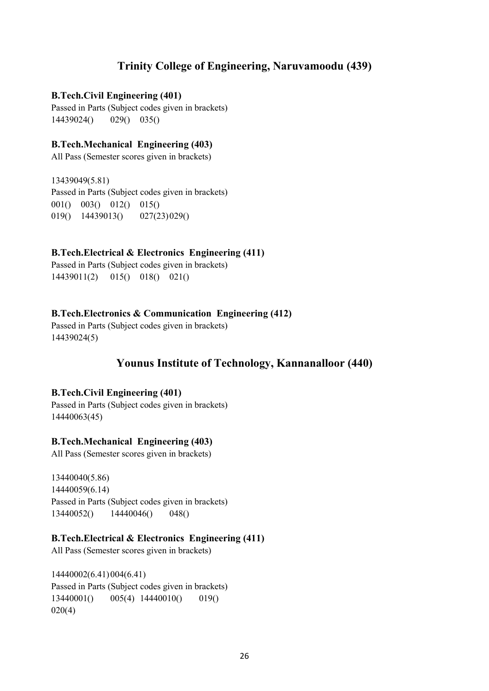## Trinity College of Engineering, Naruvamoodu (439)

#### B.Tech.Civil Engineering (401)

Passed in Parts (Subject codes given in brackets) 14439024() 029() 035()

#### B.Tech.Mechanical Engineering (403)

All Pass (Semester scores given in brackets)

13439049(5.81) Passed in Parts (Subject codes given in brackets) 001() 003() 012() 015() 019() 14439013() 027(23) 029()

#### B.Tech.Electrical & Electronics Engineering (411)

Passed in Parts (Subject codes given in brackets) 14439011(2) 015() 018() 021()

#### B.Tech.Electronics & Communication Engineering (412)

Passed in Parts (Subject codes given in brackets) 14439024(5)

### Younus Institute of Technology, Kannanalloor (440)

#### B.Tech.Civil Engineering (401)

Passed in Parts (Subject codes given in brackets) 14440063(45)

#### B.Tech.Mechanical Engineering (403)

All Pass (Semester scores given in brackets)

13440040(5.86) 14440059(6.14) Passed in Parts (Subject codes given in brackets) 13440052() 14440046() 048()

#### B.Tech.Electrical & Electronics Engineering (411)

All Pass (Semester scores given in brackets)

14440002(6.41) 004(6.41) Passed in Parts (Subject codes given in brackets) 13440001() 005(4) 14440010() 019() 020(4)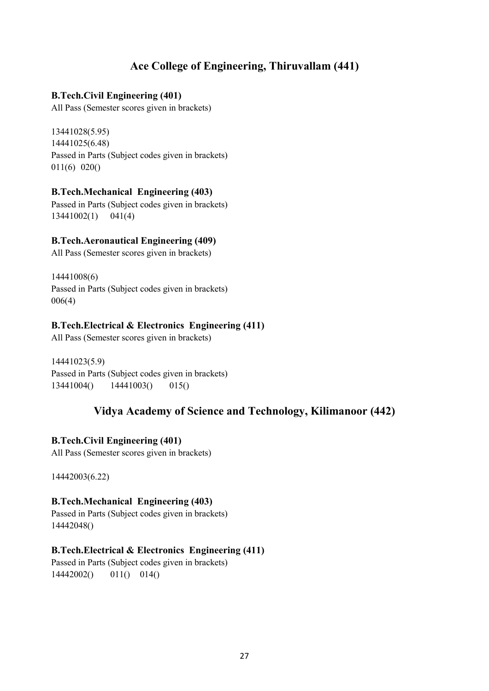## Ace College of Engineering, Thiruvallam (441)

## B.Tech.Civil Engineering (401)

All Pass (Semester scores given in brackets)

13441028(5.95) 14441025(6.48) Passed in Parts (Subject codes given in brackets) 011(6) 020()

## B.Tech.Mechanical Engineering (403)

Passed in Parts (Subject codes given in brackets) 13441002(1) 041(4)

## B.Tech.Aeronautical Engineering (409)

All Pass (Semester scores given in brackets)

14441008(6) Passed in Parts (Subject codes given in brackets) 006(4)

## B.Tech.Electrical & Electronics Engineering (411)

All Pass (Semester scores given in brackets)

14441023(5.9) Passed in Parts (Subject codes given in brackets) 13441004() 14441003() 015()

## Vidya Academy of Science and Technology, Kilimanoor (442)

#### B.Tech.Civil Engineering (401)

All Pass (Semester scores given in brackets)

14442003(6.22)

## B.Tech.Mechanical Engineering (403)

Passed in Parts (Subject codes given in brackets) 14442048()

#### B.Tech.Electrical & Electronics Engineering (411)

Passed in Parts (Subject codes given in brackets) 14442002() 011() 014()